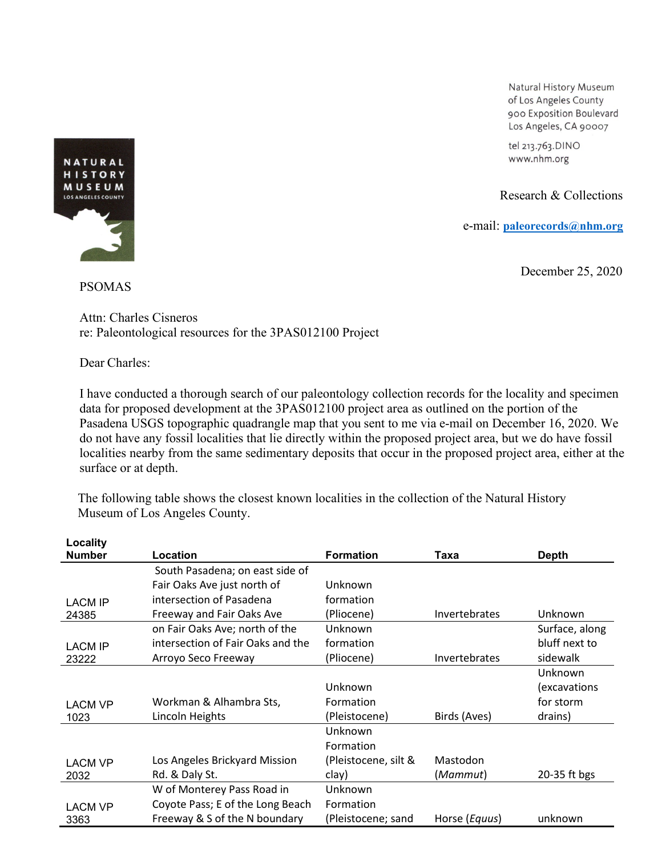Natural History Museum of Los Angeles County 900 Exposition Boulevard Los Angeles, CA 90007

tel 213.763.DINO www.nhm.org

Research & Collections

e-mail[:](mailto:smcleod@nhm.org) **[paleorecords@nhm.org](mailto:smcleod@nhm.org)**

December 25, 2020



## PSOMAS

Attn: Charles Cisneros re: Paleontological resources for the 3PAS012100 Project

Dear Charles:

I have conducted a thorough search of our paleontology collection records for the locality and specimen data for proposed development at the 3PAS012100 project area as outlined on the portion of the Pasadena USGS topographic quadrangle map that you sent to me via e-mail on December 16, 2020. We do not have any fossil localities that lie directly within the proposed project area, but we do have fossil localities nearby from the same sedimentary deposits that occur in the proposed project area, either at the surface or at depth.

The following table shows the closest known localities in the collection of the Natural History Museum of Los Angeles County.

| Locality       |                                   |                      |                      |                |
|----------------|-----------------------------------|----------------------|----------------------|----------------|
| <b>Number</b>  | Location                          | <b>Formation</b>     | Taxa                 | <b>Depth</b>   |
|                | South Pasadena; on east side of   |                      |                      |                |
|                | Fair Oaks Ave just north of       | Unknown              |                      |                |
| <b>LACM IP</b> | intersection of Pasadena          | formation            |                      |                |
| 24385          | Freeway and Fair Oaks Ave         | (Pliocene)           | Invertebrates        | Unknown        |
|                | on Fair Oaks Ave; north of the    | Unknown              |                      | Surface, along |
| <b>LACM IP</b> | intersection of Fair Oaks and the | formation            |                      | bluff next to  |
| 23222          | Arroyo Seco Freeway               | (Pliocene)           | <b>Invertebrates</b> | sidewalk       |
|                |                                   |                      |                      | Unknown        |
|                |                                   | Unknown              |                      | (excavations   |
| <b>LACM VP</b> | Workman & Alhambra Sts,           | Formation            |                      | for storm      |
| 1023           | Lincoln Heights                   | (Pleistocene)        | Birds (Aves)         | drains)        |
|                |                                   | Unknown              |                      |                |
|                |                                   | Formation            |                      |                |
| <b>LACM VP</b> | Los Angeles Brickyard Mission     | (Pleistocene, silt & | Mastodon             |                |
| 2032           | Rd. & Daly St.                    | clay)                | (Mammut)             | 20-35 ft bgs   |
|                | W of Monterey Pass Road in        | Unknown              |                      |                |
| <b>LACM VP</b> | Coyote Pass; E of the Long Beach  | Formation            |                      |                |
| 3363           | Freeway & S of the N boundary     | (Pleistocene; sand   | Horse (Equus)        | unknown        |